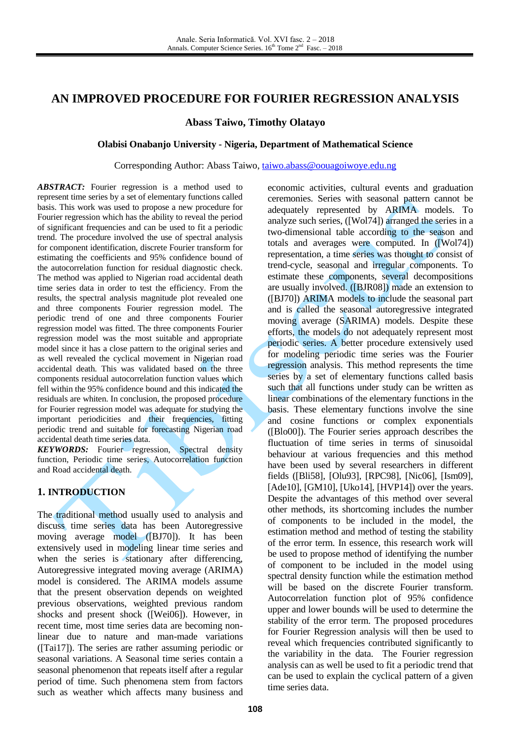# **AN IMPROVED PROCEDURE FOR FOURIER REGRESSION ANALYSIS**

**Abass Taiwo, Timothy Olatayo**

#### **Olabisi Onabanjo University - Nigeria, Department of Mathematical Science**

Corresponding Author: Abass Taiwo, [taiwo.abass@oouagoiwoye.edu.ng](mailto:taiwo.abass@oouagoiwoye.edu.ng)

ABSTRACT: Fourier regression is a method used to represent time series by a set of elementary functions called basis. This work was used to propose a new procedure for Fourier regression which has the ability to reveal the period of significant frequencies and can be used to fit a periodic trend. The procedure involved the use of spectral analysis for component identification, discrete Fourier transform for estimating the coefficients and 95% confidence bound of the autocorrelation function for residual diagnostic check. The method was applied to Nigerian road accidental death time series data in order to test the efficiency. From the results, the spectral analysis magnitude plot revealed one and three components Fourier regression model. The periodic trend of one and three components Fourier regression model was fitted. The three components Fourier regression model was the most suitable and appropriate model since it has a close pattern to the original series and as well revealed the cyclical movement in Nigerian road accidental death. This was validated based on the three components residual autocorrelation function values which fell within the 95% confidence bound and this indicated the residuals are whiten. In conclusion, the proposed procedure for Fourier regression model was adequate for studying the important periodicities and their frequencies, fitting periodic trend and suitable for forecasting Nigerian road accidental death time series data.

*KEYWORDS:* Fourier regression, Spectral density function, Periodic time series, Autocorrelation function and Road accidental death.

## **1. INTRODUCTION**

The traditional method usually used to analysis and discuss time series data has been Autoregressive moving average model ([BJ70]). It has been extensively used in modeling linear time series and when the series is stationary after differencing, Autoregressive integrated moving average (ARIMA) model is considered. The ARIMA models assume that the present observation depends on weighted previous observations, weighted previous random shocks and present shock ([Wei06]). However, in recent time, most time series data are becoming nonlinear due to nature and man-made variations ([Tai17]). The series are rather assuming periodic or seasonal variations. A Seasonal time series contain a seasonal phenomenon that repeats itself after a regular period of time. Such phenomena stem from factors such as weather which affects many business and economic activities, cultural events and graduation ceremonies. Series with seasonal pattern cannot be adequately represented by ARIMA models. To analyze such series, ([Wol74]) arranged the series in a two-dimensional table according to the season and totals and averages were computed. In ([Wol74]) representation, a time series was thought to consist of trend-cycle, seasonal and irregular components. To estimate these components, several decompositions are usually involved. ([BJR08]) made an extension to ([BJ70]) ARIMA models to include the seasonal part and is called the seasonal autoregressive integrated moving average (SARIMA) models. Despite these efforts, the models do not adequately represent most periodic series. A better procedure extensively used for modeling periodic time series was the Fourier regression analysis. This method represents the time series by a set of elementary functions called basis such that all functions under study can be written as linear combinations of the elementary functions in the basis. These elementary functions involve the sine and cosine functions or complex exponentials ([Blo00]). The Fourier series approach describes the fluctuation of time series in terms of sinusoidal behaviour at various frequencies and this method have been used by several researchers in different fields ([Bli58], [Olu93], [RPC98], [Nic06], [Ism09], [Ade10], [GM10], [Uko14], [HVP14]) over the years. Despite the advantages of this method over several other methods, its shortcoming includes the number of components to be included in the model, the estimation method and method of testing the stability of the error term. In essence, this research work will be used to propose method of identifying the number of component to be included in the model using spectral density function while the estimation method will be based on the discrete Fourier transform. Autocorrelation function plot of 95% confidence upper and lower bounds will be used to determine the stability of the error term. The proposed procedures for Fourier Regression analysis will then be used to reveal which frequencies contributed significantly to the variability in the data. The Fourier regression analysis can as well be used to fit a periodic trend that can be used to explain the cyclical pattern of a given time series data.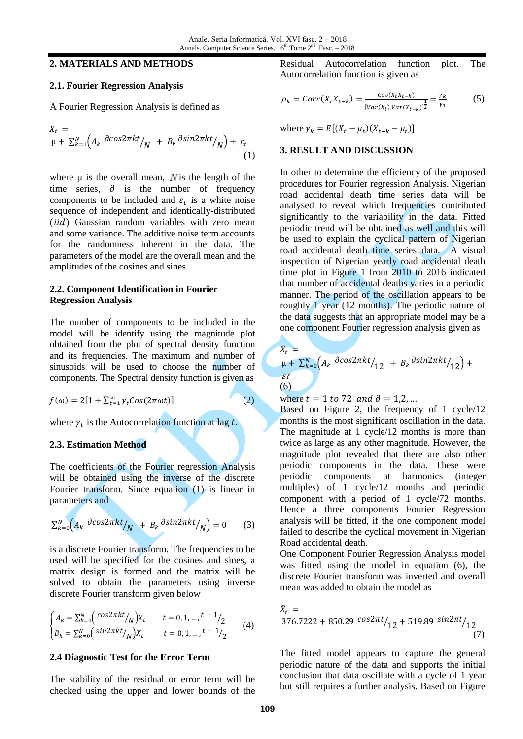# **2. MATERIALS AND METHODS**

## **2.1. Fourier Regression Analysis**

A Fourier Regression Analysis is defined as

$$
X_{t} = \mu + \sum_{k=1}^{N} \left( A_{k} \frac{\partial \cos 2\pi kt}{N} + B_{k} \frac{\partial \sin 2\pi kt}{N} \right) + \varepsilon_{t}
$$
\n(1)

where  $\mu$  is the overall mean, N is the length of the time series,  $\partial$  is the number of frequency components to be included and  $\varepsilon_t$  is a white noise sequence of independent and identically-distributed (iid) Gaussian random variables with zero mean and some variance. The additive noise term accounts for the randomness inherent in the data. The parameters of the model are the overall mean and the amplitudes of the cosines and sines.

### **2.2. Component Identification in Fourier Regression Analysis**

The number of components to be included in the model will be identify using the magnitude plot obtained from the plot of spectral density function and its frequencies. The maximum and number of sinusoids will be used to choose the number of components. The Spectral density function is given as

 $f(\omega) = 2[1 + \sum_{t=1}^{\infty}$ 

where  $\gamma_t$  is the Autocorrelation function at lag

#### **2.3. Estimation Method**

The coefficients of the Fourier regression Analysis will be obtained using the inverse of the discrete Fourier transform. Since equation (1) is linear in parameters and

$$
\sum_{k=0}^{N} \left( A_k \frac{\partial \cos 2\pi k t}{N} + B_k \frac{\partial \sin 2\pi k t}{N} \right) = 0 \quad (3)
$$

is a discrete Fourier transform. The frequencies to be used will be specified for the cosines and sines, a matrix design is formed and the matrix will be solved to obtain the parameters using inverse discrete Fourier transform given below

$$
\begin{cases}\nA_k = \sum_{k=0}^{N} \left( \frac{\cos 2\pi kt}{N} \right) X_t & t = 0, 1, ..., \frac{t-1}{2} \\
B_k = \sum_{k=0}^{N} \left( \frac{\sin 2\pi kt}{N} \right) X_t & t = 0, 1, ..., \frac{t-1}{2}\n\end{cases}
$$
\n(4)

#### **2.4 Diagnostic Test for the Error Term**

The stability of the residual or error term will be checked using the upper and lower bounds of the Residual Autocorrelation function plot. The Autocorrelation function is given as

$$
\rho_k = Corr(X_t X_{t-k}) = \frac{Cov(X_t X_{t-k})}{[Var(X_t) Var(X_{t-k})]^{\frac{1}{2}}} = \frac{\gamma_k}{\gamma_0}
$$
(5)

where  $\gamma_k = E[(X_t - \mu_t)(X_{t-k} - \mu_t)]$ 

#### **3. RESULT AND DISCUSSION**

In other to determine the efficiency of the proposed procedures for Fourier regression Analysis. Nigerian road accidental death time series data will be analysed to reveal which frequencies contributed significantly to the variability in the data. Fitted periodic trend will be obtained as well and this will be used to explain the cyclical pattern of Nigerian road accidental death time series data. A visual inspection of Nigerian yearly road accidental death time plot in Figure 1 from 2010 to 2016 indicated that number of accidental deaths varies in a periodic manner. The period of the oscillation appears to be roughly 1 year (12 months). The periodic nature of the data suggests that an appropriate model may be a one component Fourier regression analysis given as

$$
\begin{aligned}\nA_t &= \\
\mu + \sum_{k=0}^N \left( A_k \frac{\partial \cos(2\pi kt)}{12} + B_k \frac{\partial \sin(2\pi kt)}{12} \right) + \\
\epsilon t \\
(6)\n\end{aligned}
$$

where  $t = 1$  to 72 and  $\partial = 1,2,...$ 

Based on Figure 2, the frequency of 1 cycle/12 months is the most significant oscillation in the data. The magnitude at 1 cycle/12 months is more than twice as large as any other magnitude. However, the magnitude plot revealed that there are also other periodic components in the data. These were periodic components at harmonics (integer multiples) of 1 cycle/12 months and periodic component with a period of 1 cycle/72 months. Hence a three components Fourier Regression analysis will be fitted, if the one component model failed to describe the cyclical movement in Nigerian Road accidental death.

One Component Fourier Regression Analysis model was fitted using the model in equation (6), the discrete Fourier transform was inverted and overall mean was added to obtain the model as

$$
\hat{X}_t = 376.7222 + 850.29 \cos 2\pi t / 12 + 519.89 \sin 2\pi t / 12
$$
\n(7)

The fitted model appears to capture the general periodic nature of the data and supports the initial conclusion that data oscillate with a cycle of 1 year but still requires a further analysis. Based on Figure

(2)

 $\overline{\bf v}$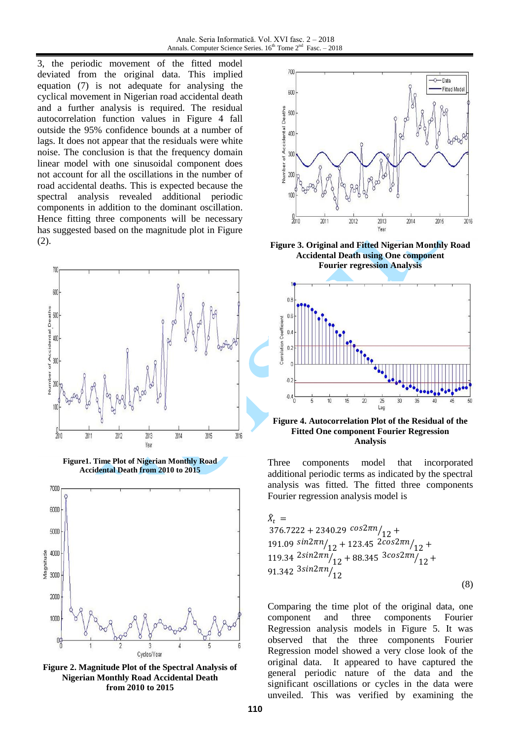3, the periodic movement of the fitted model deviated from the original data. This implied equation (7) is not adequate for analysing the cyclical movement in Nigerian road accidental death and a further analysis is required. The residual autocorrelation function values in Figure 4 fall outside the 95% confidence bounds at a number of lags. It does not appear that the residuals were white noise. The conclusion is that the frequency domain linear model with one sinusoidal component does not account for all the oscillations in the number of road accidental deaths. This is expected because the spectral analysis revealed additional periodic components in addition to the dominant oscillation. Hence fitting three components will be necessary has suggested based on the magnitude plot in Figure (2).





**Figure 2. Magnitude Plot of the Spectral Analysis of Nigerian Monthly Road Accidental Death from 2010 to 2015**



**Figure 3. Original and Fitted Nigerian Monthly Road Accidental Death using One component Fourier regression Analysis**



**Figure 4. Autocorrelation Plot of the Residual of the Fitted One component Fourier Regression Analysis**

Three components model that incorporated additional periodic terms as indicated by the spectral analysis was fitted. The fitted three components Fourier regression analysis model is

$$
\hat{X}_t = 376.7222 + 2340.29 \cos 2\pi n /_{12} + 191.09 \sin 2\pi n /_{12} + 123.45 \cos 2\pi n /_{12} + 119.34 \cos 2\pi n /_{12} + 88.345 \cos 2\pi n /_{12} + 91.342 \sin 2\pi n /_{12}
$$
\n(8)

Comparing the time plot of the original data, one component and three components Fourier Regression analysis models in Figure 5. It was observed that the three components Fourier Regression model showed a very close look of the original data. It appeared to have captured the general periodic nature of the data and the significant oscillations or cycles in the data were unveiled. This was verified by examining the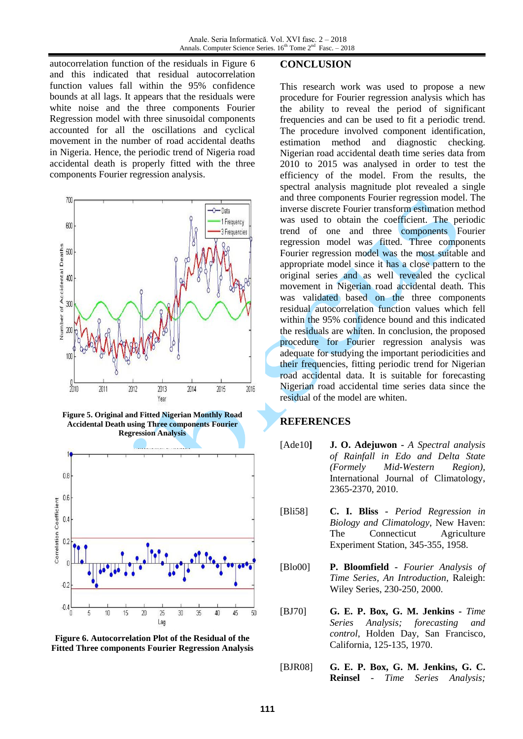autocorrelation function of the residuals in Figure 6 and this indicated that residual autocorrelation function values fall within the 95% confidence bounds at all lags. It appears that the residuals were white noise and the three components Fourier Regression model with three sinusoidal components accounted for all the oscillations and cyclical movement in the number of road accidental deaths in Nigeria. Hence, the periodic trend of Nigeria road accidental death is properly fitted with the three components Fourier regression analysis.



**Figure 5. Original and Fitted Nigerian Monthly Road Accidental Death using Three components Fourier Regression Analysis**





#### **CONCLUSION**

This research work was used to propose a new procedure for Fourier regression analysis which has the ability to reveal the period of significant frequencies and can be used to fit a periodic trend. The procedure involved component identification, estimation method and diagnostic checking. Nigerian road accidental death time series data from 2010 to 2015 was analysed in order to test the efficiency of the model. From the results, the spectral analysis magnitude plot revealed a single and three components Fourier regression model. The inverse discrete Fourier transform estimation method was used to obtain the coefficient. The periodic trend of one and three components Fourier regression model was fitted. Three components Fourier regression model was the most suitable and appropriate model since it has a close pattern to the original series and as well revealed the cyclical movement in Nigerian road accidental death. This was validated based on the three components residual autocorrelation function values which fell within the 95% confidence bound and this indicated the residuals are whiten. In conclusion, the proposed procedure for Fourier regression analysis was adequate for studying the important periodicities and their frequencies, fitting periodic trend for Nigerian road accidental data. It is suitable for forecasting Nigerian road accidental time series data since the residual of the model are whiten.

## **REFERENCES**

- [Ade10**] J. O. Adejuwon -** *A Spectral analysis of Rainfall in Edo and Delta State (Formely Mid-Western Region),*  International Journal of Climatology, 2365-2370, 2010.
- [Bli58] **C. I. Bliss -** *Period Regression in Biology and Climatology*, New Haven: The Connecticut Agriculture Experiment Station, 345-355, 1958.
- [Blo00] **P. Bloomfield -** *Fourier Analysis of Time Series, An Introduction*, Raleigh: Wiley Series, 230-250, 2000.
- [BJ70] **G. E. P. Box, G. M. Jenkins -** *Time Series Analysis; forecasting and control*, Holden Day, San Francisco, California, 125-135, 1970.
- [BJR08] **G. E. P. Box, G. M. Jenkins, G. C. Reinsel** - *Time Series Analysis;*